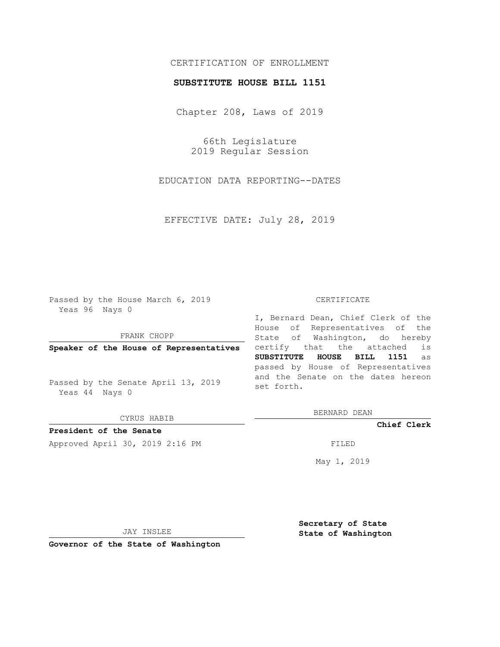## CERTIFICATION OF ENROLLMENT

## **SUBSTITUTE HOUSE BILL 1151**

Chapter 208, Laws of 2019

66th Legislature 2019 Regular Session

EDUCATION DATA REPORTING--DATES

EFFECTIVE DATE: July 28, 2019

Passed by the House March 6, 2019 Yeas 96 Nays 0

FRANK CHOPP

**Speaker of the House of Representatives**

Passed by the Senate April 13, 2019 Yeas 44 Nays 0

CYRUS HABIB

**President of the Senate**

Approved April 30, 2019 2:16 PM FILED

## CERTIFICATE

I, Bernard Dean, Chief Clerk of the House of Representatives of the State of Washington, do hereby certify that the attached is **SUBSTITUTE HOUSE BILL 1151** as passed by House of Representatives and the Senate on the dates hereon set forth.

BERNARD DEAN

**Chief Clerk**

May 1, 2019

JAY INSLEE

**Governor of the State of Washington**

**Secretary of State State of Washington**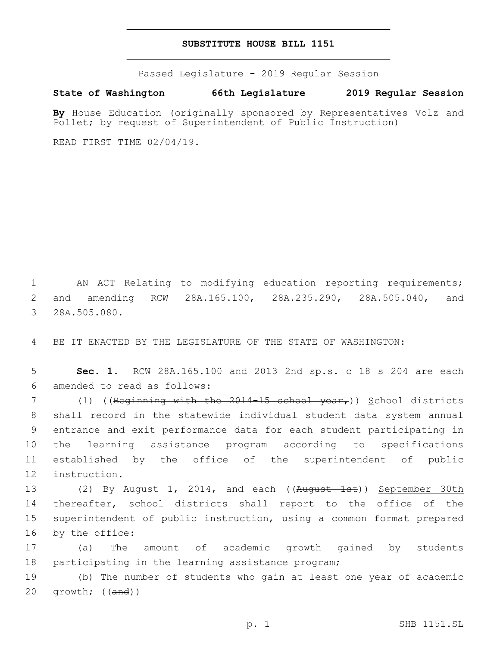## **SUBSTITUTE HOUSE BILL 1151**

Passed Legislature - 2019 Regular Session

**State of Washington 66th Legislature 2019 Regular Session**

**By** House Education (originally sponsored by Representatives Volz and Pollet; by request of Superintendent of Public Instruction)

READ FIRST TIME 02/04/19.

1 AN ACT Relating to modifying education reporting requirements; 2 and amending RCW 28A.165.100, 28A.235.290, 28A.505.040, and 3 28A.505.080.

4 BE IT ENACTED BY THE LEGISLATURE OF THE STATE OF WASHINGTON:

5 **Sec. 1.** RCW 28A.165.100 and 2013 2nd sp.s. c 18 s 204 are each amended to read as follows:6

7 (1) ((Beginning with the 2014-15 school year,)) School districts shall record in the statewide individual student data system annual entrance and exit performance data for each student participating in the learning assistance program according to specifications established by the office of the superintendent of public 12 instruction.

13 (2) By August 1, 2014, and each ((August 1st)) September 30th 14 thereafter, school districts shall report to the office of the 15 superintendent of public instruction, using a common format prepared 16 by the office:

17 (a) The amount of academic growth gained by students 18 participating in the learning assistance program;

19 (b) The number of students who gain at least one year of academic 20  $qrowth; ((and))$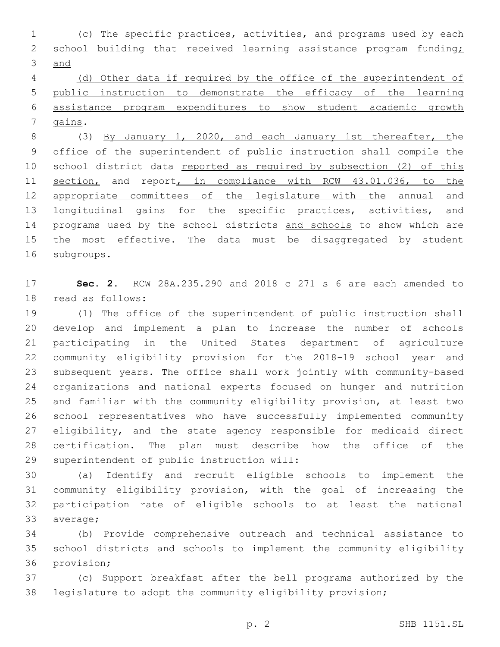(c) The specific practices, activities, and programs used by each 2 school building that received learning assistance program funding; and

 (d) Other data if required by the office of the superintendent of public instruction to demonstrate the efficacy of the learning assistance program expenditures to show student academic growth 7 gains.

 (3) By January 1, 2020, and each January 1st thereafter, the office of the superintendent of public instruction shall compile the 10 school district data reported as required by subsection (2) of this 11 section, and report, in compliance with RCW 43.01.036, to the appropriate committees of the legislature with the annual and longitudinal gains for the specific practices, activities, and 14 programs used by the school districts and schools to show which are the most effective. The data must be disaggregated by student 16 subgroups.

 **Sec. 2.** RCW 28A.235.290 and 2018 c 271 s 6 are each amended to 18 read as follows:

 (1) The office of the superintendent of public instruction shall develop and implement a plan to increase the number of schools participating in the United States department of agriculture community eligibility provision for the 2018-19 school year and subsequent years. The office shall work jointly with community-based organizations and national experts focused on hunger and nutrition and familiar with the community eligibility provision, at least two school representatives who have successfully implemented community eligibility, and the state agency responsible for medicaid direct certification. The plan must describe how the office of the 29 superintendent of public instruction will:

 (a) Identify and recruit eligible schools to implement the community eligibility provision, with the goal of increasing the participation rate of eligible schools to at least the national 33 average;

 (b) Provide comprehensive outreach and technical assistance to school districts and schools to implement the community eligibility 36 provision;

 (c) Support breakfast after the bell programs authorized by the legislature to adopt the community eligibility provision;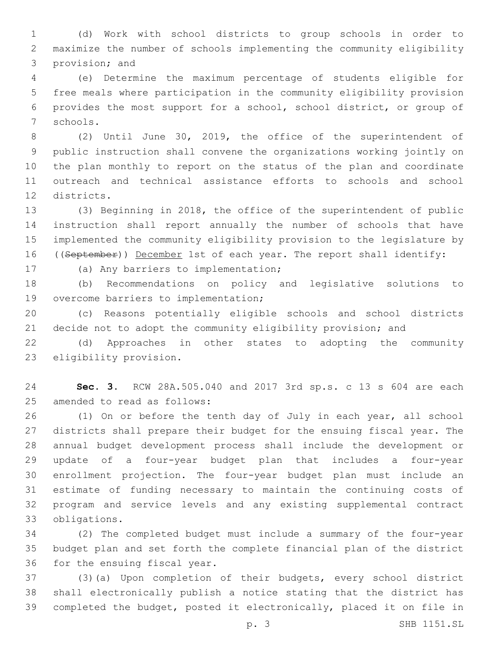(d) Work with school districts to group schools in order to maximize the number of schools implementing the community eligibility 3 provision; and

 (e) Determine the maximum percentage of students eligible for free meals where participation in the community eligibility provision provides the most support for a school, school district, or group of schools.7

 (2) Until June 30, 2019, the office of the superintendent of public instruction shall convene the organizations working jointly on the plan monthly to report on the status of the plan and coordinate outreach and technical assistance efforts to schools and school 12 districts.

 (3) Beginning in 2018, the office of the superintendent of public instruction shall report annually the number of schools that have implemented the community eligibility provision to the legislature by 16 ((September)) December 1st of each year. The report shall identify:

17 (a) Any barriers to implementation;

 (b) Recommendations on policy and legislative solutions to 19 overcome barriers to implementation;

 (c) Reasons potentially eligible schools and school districts decide not to adopt the community eligibility provision; and

 (d) Approaches in other states to adopting the community 23 eligibility provision.

 **Sec. 3.** RCW 28A.505.040 and 2017 3rd sp.s. c 13 s 604 are each 25 amended to read as follows:

 (1) On or before the tenth day of July in each year, all school districts shall prepare their budget for the ensuing fiscal year. The annual budget development process shall include the development or update of a four-year budget plan that includes a four-year enrollment projection. The four-year budget plan must include an estimate of funding necessary to maintain the continuing costs of program and service levels and any existing supplemental contract 33 obligations.

 (2) The completed budget must include a summary of the four-year budget plan and set forth the complete financial plan of the district 36 for the ensuing fiscal year.

 (3)(a) Upon completion of their budgets, every school district shall electronically publish a notice stating that the district has completed the budget, posted it electronically, placed it on file in

p. 3 SHB 1151.SL